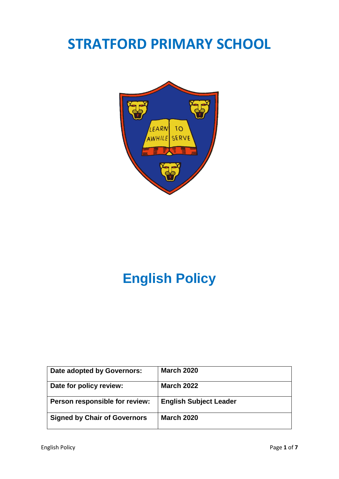# **STRATFORD PRIMARY SCHOOL**



# **English Policy**

| Date adopted by Governors:          | <b>March 2020</b>             |
|-------------------------------------|-------------------------------|
| Date for policy review:             | <b>March 2022</b>             |
| Person responsible for review:      | <b>English Subject Leader</b> |
| <b>Signed by Chair of Governors</b> | <b>March 2020</b>             |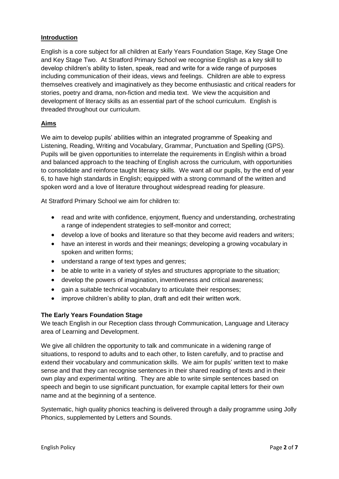## **Introduction**

English is a core subject for all children at Early Years Foundation Stage, Key Stage One and Key Stage Two. At Stratford Primary School we recognise English as a key skill to develop children's ability to listen, speak, read and write for a wide range of purposes including communication of their ideas, views and feelings. Children are able to express themselves creatively and imaginatively as they become enthusiastic and critical readers for stories, poetry and drama, non-fiction and media text. We view the acquisition and development of literacy skills as an essential part of the school curriculum. English is threaded throughout our curriculum.

# **Aims**

We aim to develop pupils' abilities within an integrated programme of Speaking and Listening, Reading, Writing and Vocabulary, Grammar, Punctuation and Spelling (GPS). Pupils will be given opportunities to interrelate the requirements in English within a broad and balanced approach to the teaching of English across the curriculum, with opportunities to consolidate and reinforce taught literacy skills. We want all our pupils, by the end of year 6, to have high standards in English; equipped with a strong command of the written and spoken word and a love of literature throughout widespread reading for pleasure.

At Stratford Primary School we aim for children to:

- read and write with confidence, enjoyment, fluency and understanding, orchestrating a range of independent strategies to self-monitor and correct;
- develop a love of books and literature so that they become avid readers and writers;
- have an interest in words and their meanings; developing a growing vocabulary in spoken and written forms;
- understand a range of text types and genres;
- be able to write in a variety of styles and structures appropriate to the situation;
- develop the powers of imagination, inventiveness and critical awareness;
- gain a suitable technical vocabulary to articulate their responses;
- improve children's ability to plan, draft and edit their written work.

#### **The Early Years Foundation Stage**

We teach English in our Reception class through Communication, Language and Literacy area of Learning and Development.

We give all children the opportunity to talk and communicate in a widening range of situations, to respond to adults and to each other, to listen carefully, and to practise and extend their vocabulary and communication skills. We aim for pupils' written text to make sense and that they can recognise sentences in their shared reading of texts and in their own play and experimental writing. They are able to write simple sentences based on speech and begin to use significant punctuation, for example capital letters for their own name and at the beginning of a sentence.

Systematic, high quality phonics teaching is delivered through a daily programme using Jolly Phonics, supplemented by Letters and Sounds.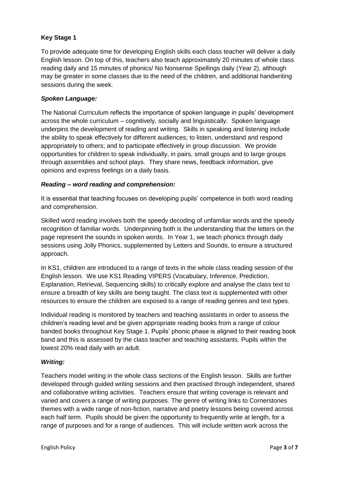# **Key Stage 1**

To provide adequate time for developing English skills each class teacher will deliver a daily English lesson. On top of this, teachers also teach approximately 20 minutes of whole class reading daily and 15 minutes of phonics/ No Nonsense Spellings daily (Year 2), although may be greater in some classes due to the need of the children, and additional handwriting sessions during the week.

### *Spoken Language:*

The National Curriculum reflects the importance of spoken language in pupils' development across the whole curriculum – cognitively, socially and linguistically. Spoken language underpins the development of reading and writing. Skills in speaking and listening include the ability to speak effectively for different audiences; to listen, understand and respond appropriately to others; and to participate effectively in group discussion. We provide opportunities for children to speak individually, in pairs, small groups and to large groups through assemblies and school plays. They share news, feedback information, give opinions and express feelings on a daily basis.

## *Reading – word reading and comprehension:*

It is essential that teaching focuses on developing pupils' competence in both word reading and comprehension.

Skilled word reading involves both the speedy decoding of unfamiliar words and the speedy recognition of familiar words. Underpinning both is the understanding that the letters on the page represent the sounds in spoken words. In Year 1, we teach phonics through daily sessions using Jolly Phonics, supplemented by Letters and Sounds, to ensure a structured approach.

In KS1, children are introduced to a range of texts in the whole class reading session of the English lesson. We use KS1 Reading VIPERS (Vocabulary, Inference, Prediction, Explanation, Retrieval, Sequencing skills) to critically explore and analyse the class text to ensure a breadth of key skills are being taught. The class text is supplemented with other resources to ensure the children are exposed to a range of reading genres and text types.

Individual reading is monitored by teachers and teaching assistants in order to assess the children's reading level and be given appropriate reading books from a range of colour banded books throughout Key Stage 1. Pupils' phonic phase is aligned to their reading book band and this is assessed by the class teacher and teaching assistants. Pupils within the lowest 20% read daily with an adult.

#### *Writing:*

Teachers model writing in the whole class sections of the English lesson. Skills are further developed through guided writing sessions and then practised through independent, shared and collaborative writing activities. Teachers ensure that writing coverage is relevant and varied and covers a range of writing purposes. The genre of writing links to Cornerstones themes with a wide range of non-fiction, narrative and poetry lessons being covered across each half term. Pupils should be given the opportunity to frequently write at length, for a range of purposes and for a range of audiences. This will include written work across the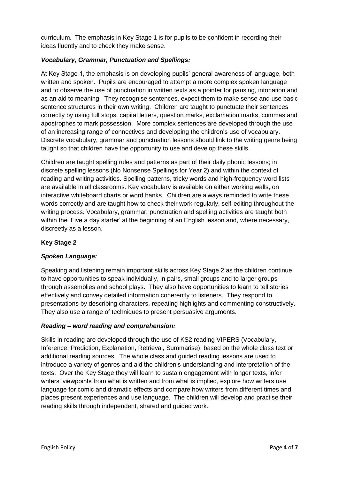curriculum. The emphasis in Key Stage 1 is for pupils to be confident in recording their ideas fluently and to check they make sense.

## *Vocabulary, Grammar, Punctuation and Spellings:*

At Key Stage 1, the emphasis is on developing pupils' general awareness of language, both written and spoken. Pupils are encouraged to attempt a more complex spoken language and to observe the use of punctuation in written texts as a pointer for pausing, intonation and as an aid to meaning. They recognise sentences, expect them to make sense and use basic sentence structures in their own writing. Children are taught to punctuate their sentences correctly by using full stops, capital letters, question marks, exclamation marks, commas and apostrophes to mark possession. More complex sentences are developed through the use of an increasing range of connectives and developing the children's use of vocabulary. Discrete vocabulary, grammar and punctuation lessons should link to the writing genre being taught so that children have the opportunity to use and develop these skills.

Children are taught spelling rules and patterns as part of their daily phonic lessons; in discrete spelling lessons (No Nonsense Spellings for Year 2) and within the context of reading and writing activities. Spelling patterns, tricky words and high-frequency word lists are available in all classrooms. Key vocabulary is available on either working walls, on interactive whiteboard charts or word banks. Children are always reminded to write these words correctly and are taught how to check their work regularly, self-editing throughout the writing process. Vocabulary, grammar, punctuation and spelling activities are taught both within the 'Five a day starter' at the beginning of an English lesson and, where necessary, discreetly as a lesson.

## **Key Stage 2**

#### *Spoken Language:*

Speaking and listening remain important skills across Key Stage 2 as the children continue to have opportunities to speak individually, in pairs, small groups and to larger groups through assemblies and school plays. They also have opportunities to learn to tell stories effectively and convey detailed information coherently to listeners. They respond to presentations by describing characters, repeating highlights and commenting constructively. They also use a range of techniques to present persuasive arguments.

#### *Reading – word reading and comprehension:*

Skills in reading are developed through the use of KS2 reading VIPERS (Vocabulary, Inference, Prediction, Explanation, Retrieval, Summarise), based on the whole class text or additional reading sources. The whole class and guided reading lessons are used to introduce a variety of genres and aid the children's understanding and interpretation of the texts. Over the Key Stage they will learn to sustain engagement with longer texts, infer writers' viewpoints from what is written and from what is implied, explore how writers use language for comic and dramatic effects and compare how writers from different times and places present experiences and use language. The children will develop and practise their reading skills through independent, shared and guided work.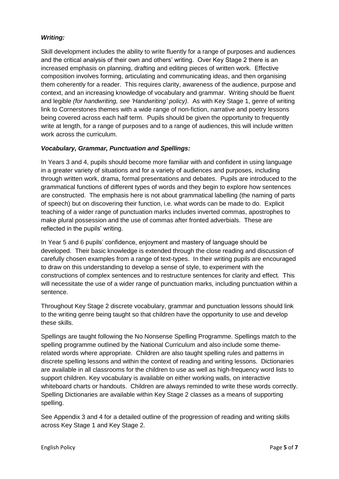## *Writing:*

Skill development includes the ability to write fluently for a range of purposes and audiences and the critical analysis of their own and others' writing. Over Key Stage 2 there is an increased emphasis on planning, drafting and editing pieces of written work. Effective composition involves forming, articulating and communicating ideas, and then organising them coherently for a reader. This requires clarity, awareness of the audience, purpose and context, and an increasing knowledge of vocabulary and grammar. Writing should be fluent and legible *(for handwriting, see 'Handwriting' policy).* As with Key Stage 1, genre of writing link to Cornerstones themes with a wide range of non-fiction, narrative and poetry lessons being covered across each half term. Pupils should be given the opportunity to frequently write at length, for a range of purposes and to a range of audiences, this will include written work across the curriculum.

## *Vocabulary, Grammar, Punctuation and Spellings:*

In Years 3 and 4, pupils should become more familiar with and confident in using language in a greater variety of situations and for a variety of audiences and purposes, including through written work, drama, formal presentations and debates. Pupils are introduced to the grammatical functions of different types of words and they begin to explore how sentences are constructed. The emphasis here is not about grammatical labelling (the naming of parts of speech) but on discovering their function, i.e. what words can be made to do. Explicit teaching of a wider range of punctuation marks includes inverted commas, apostrophes to make plural possession and the use of commas after fronted adverbials. These are reflected in the pupils' writing.

In Year 5 and 6 pupils' confidence, enjoyment and mastery of language should be developed. Their basic knowledge is extended through the close reading and discussion of carefully chosen examples from a range of text-types. In their writing pupils are encouraged to draw on this understanding to develop a sense of style, to experiment with the constructions of complex sentences and to restructure sentences for clarity and effect. This will necessitate the use of a wider range of punctuation marks, including punctuation within a sentence.

Throughout Key Stage 2 discrete vocabulary, grammar and punctuation lessons should link to the writing genre being taught so that children have the opportunity to use and develop these skills.

Spellings are taught following the No Nonsense Spelling Programme. Spellings match to the spelling programme outlined by the National Curriculum and also include some themerelated words where appropriate. Children are also taught spelling rules and patterns in discrete spelling lessons and within the context of reading and writing lessons. Dictionaries are available in all classrooms for the children to use as well as high-frequency word lists to support children. Key vocabulary is available on either working walls, on interactive whiteboard charts or handouts. Children are always reminded to write these words correctly. Spelling Dictionaries are available within Key Stage 2 classes as a means of supporting spelling.

See Appendix 3 and 4 for a detailed outline of the progression of reading and writing skills across Key Stage 1 and Key Stage 2.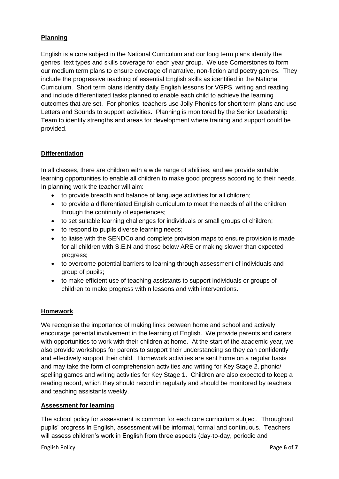# **Planning**

English is a core subject in the National Curriculum and our long term plans identify the genres, text types and skills coverage for each year group. We use Cornerstones to form our medium term plans to ensure coverage of narrative, non-fiction and poetry genres. They include the progressive teaching of essential English skills as identified in the National Curriculum. Short term plans identify daily English lessons for VGPS, writing and reading and include differentiated tasks planned to enable each child to achieve the learning outcomes that are set. For phonics, teachers use Jolly Phonics for short term plans and use Letters and Sounds to support activities. Planning is monitored by the Senior Leadership Team to identify strengths and areas for development where training and support could be provided.

# **Differentiation**

In all classes, there are children with a wide range of abilities, and we provide suitable learning opportunities to enable all children to make good progress according to their needs. In planning work the teacher will aim:

- to provide breadth and balance of language activities for all children;
- to provide a differentiated English curriculum to meet the needs of all the children through the continuity of experiences;
- to set suitable learning challenges for individuals or small groups of children;
- to respond to pupils diverse learning needs;
- to liaise with the SENDCo and complete provision maps to ensure provision is made for all children with S.E.N and those below ARE or making slower than expected progress;
- to overcome potential barriers to learning through assessment of individuals and group of pupils;
- to make efficient use of teaching assistants to support individuals or groups of children to make progress within lessons and with interventions.

# **Homework**

We recognise the importance of making links between home and school and actively encourage parental involvement in the learning of English. We provide parents and carers with opportunities to work with their children at home. At the start of the academic year, we also provide workshops for parents to support their understanding so they can confidently and effectively support their child. Homework activities are sent home on a regular basis and may take the form of comprehension activities and writing for Key Stage 2, phonic/ spelling games and writing activities for Key Stage 1. Children are also expected to keep a reading record, which they should record in regularly and should be monitored by teachers and teaching assistants weekly.

#### **Assessment for learning**

The school policy for assessment is common for each core curriculum subject. Throughout pupils' progress in English, assessment will be informal, formal and continuous. Teachers will assess children's work in English from three aspects (day-to-day, periodic and

English Policy Page **6** of **7**